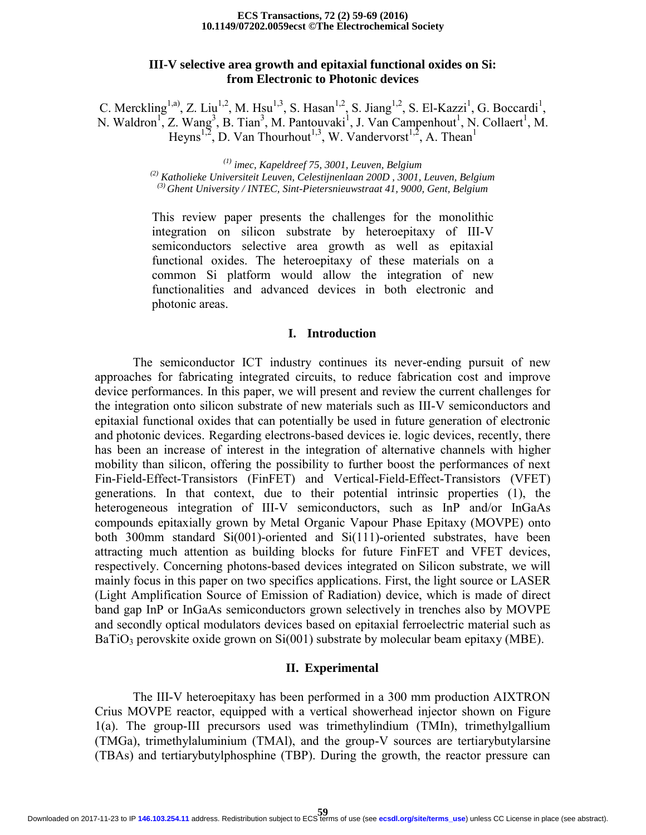# **III-V selective area growth and epitaxial functional oxides on Si: from Electronic to Photonic devices**

C. Merckling<sup>1,a)</sup>, Z. Liu<sup>1,2</sup>, M. Hsu<sup>1,3</sup>, S. Hasan<sup>1,2</sup>, S. Jiang<sup>1,2</sup>, S. El-Kazzi<sup>1</sup>, G. Boccardi<sup>1</sup>, N. Waldron<sup>1</sup>, Z. Wang<sup>3</sup>, B. Tian<sup>3</sup>, M. Pantouvaki<sup>1</sup>, J. Van Campenhout<sup>1</sup>, N. Collaert<sup>1</sup>, M. Heyns<sup>1,2</sup>, D. Van Thourhout<sup>1,3</sup>, W. Vandervorst<sup>1,2</sup>, A. Thean<sup>1</sup>

> *(1) imec, Kapeldreef 75, 3001, Leuven, Belgium (2) Katholieke Universiteit Leuven, Celestijnenlaan 200D , 3001, Leuven, Belgium*

*(3) Ghent University / INTEC, Sint-Pietersnieuwstraat 41, 9000, Gent, Belgium* 

This review paper presents the challenges for the monolithic integration on silicon substrate by heteroepitaxy of III-V semiconductors selective area growth as well as epitaxial functional oxides. The heteroepitaxy of these materials on a common Si platform would allow the integration of new functionalities and advanced devices in both electronic and photonic areas.

# **I. Introduction**

 The semiconductor ICT industry continues its never-ending pursuit of new approaches for fabricating integrated circuits, to reduce fabrication cost and improve device performances. In this paper, we will present and review the current challenges for the integration onto silicon substrate of new materials such as III-V semiconductors and epitaxial functional oxides that can potentially be used in future generation of electronic and photonic devices. Regarding electrons-based devices ie. logic devices, recently, there has been an increase of interest in the integration of alternative channels with higher mobility than silicon, offering the possibility to further boost the performances of next Fin-Field-Effect-Transistors (FinFET) and Vertical-Field-Effect-Transistors (VFET) generations. In that context, due to their potential intrinsic properties (1), the heterogeneous integration of III-V semiconductors, such as InP and/or InGaAs compounds epitaxially grown by Metal Organic Vapour Phase Epitaxy (MOVPE) onto both 300mm standard Si(001)-oriented and Si(111)-oriented substrates, have been attracting much attention as building blocks for future FinFET and VFET devices, respectively. Concerning photons-based devices integrated on Silicon substrate, we will mainly focus in this paper on two specifics applications. First, the light source or LASER (Light Amplification Source of Emission of Radiation) device, which is made of direct band gap InP or InGaAs semiconductors grown selectively in trenches also by MOVPE and secondly optical modulators devices based on epitaxial ferroelectric material such as  $BaTiO<sub>3</sub>$  perovskite oxide grown on  $Si(001)$  substrate by molecular beam epitaxy (MBE).

# **II. Experimental**

 The III-V heteroepitaxy has been performed in a 300 mm production AIXTRON Crius MOVPE reactor, equipped with a vertical showerhead injector shown on Figure 1(a). The group-III precursors used was trimethylindium (TMIn), trimethylgallium (TMGa), trimethylaluminium (TMAl), and the group-V sources are tertiarybutylarsine (TBAs) and tertiarybutylphosphine (TBP). During the growth, the reactor pressure can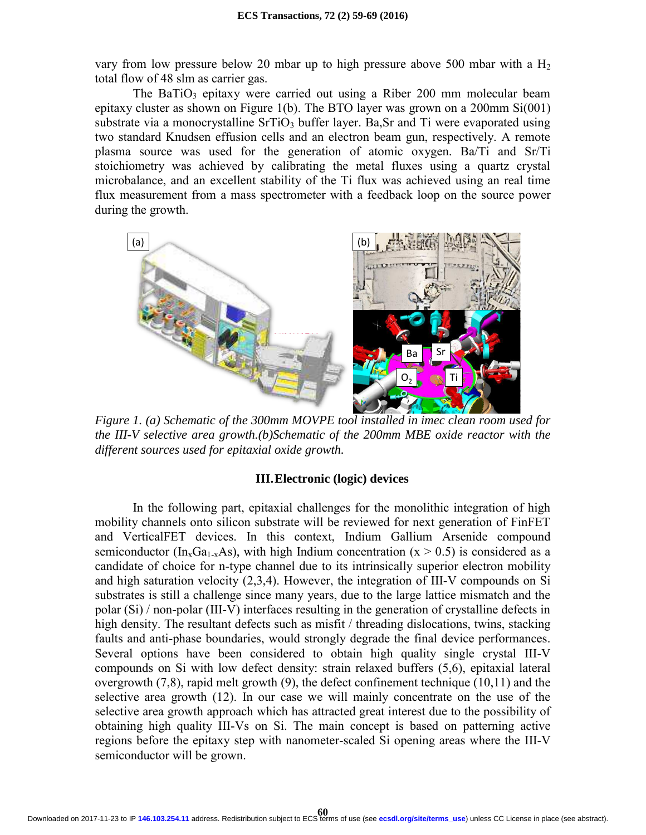vary from low pressure below 20 mbar up to high pressure above 500 mbar with a  $H_2$ total flow of 48 slm as carrier gas.

The BaTiO<sub>3</sub> epitaxy were carried out using a Riber 200 mm molecular beam epitaxy cluster as shown on Figure 1(b). The BTO layer was grown on a 200mm Si(001) substrate via a monocrystalline  $SrTiO<sub>3</sub>$  buffer layer. Ba, Sr and Ti were evaporated using two standard Knudsen effusion cells and an electron beam gun, respectively. A remote plasma source was used for the generation of atomic oxygen. Ba/Ti and Sr/Ti stoichiometry was achieved by calibrating the metal fluxes using a quartz crystal microbalance, and an excellent stability of the Ti flux was achieved using an real time flux measurement from a mass spectrometer with a feedback loop on the source power during the growth.



*Figure 1. (a) Schematic of the 300mm MOVPE tool installed in imec clean room used for the III-V selective area growth.(b)Schematic of the 200mm MBE oxide reactor with the different sources used for epitaxial oxide growth.* 

# **III.Electronic (logic) devices**

 In the following part, epitaxial challenges for the monolithic integration of high mobility channels onto silicon substrate will be reviewed for next generation of FinFET and VerticalFET devices. In this context, Indium Gallium Arsenide compound semiconductor (In<sub>x</sub>Ga<sub>1-x</sub>As), with high Indium concentration (x > 0.5) is considered as a candidate of choice for n-type channel due to its intrinsically superior electron mobility and high saturation velocity (2,3,4). However, the integration of III-V compounds on Si substrates is still a challenge since many years, due to the large lattice mismatch and the polar (Si) / non-polar (III-V) interfaces resulting in the generation of crystalline defects in high density. The resultant defects such as misfit / threading dislocations, twins, stacking faults and anti-phase boundaries, would strongly degrade the final device performances. Several options have been considered to obtain high quality single crystal III-V compounds on Si with low defect density: strain relaxed buffers (5,6), epitaxial lateral overgrowth (7,8), rapid melt growth (9), the defect confinement technique (10,11) and the selective area growth (12). In our case we will mainly concentrate on the use of the selective area growth approach which has attracted great interest due to the possibility of obtaining high quality III-Vs on Si. The main concept is based on patterning active regions before the epitaxy step with nanometer-scaled Si opening areas where the III-V semiconductor will be grown.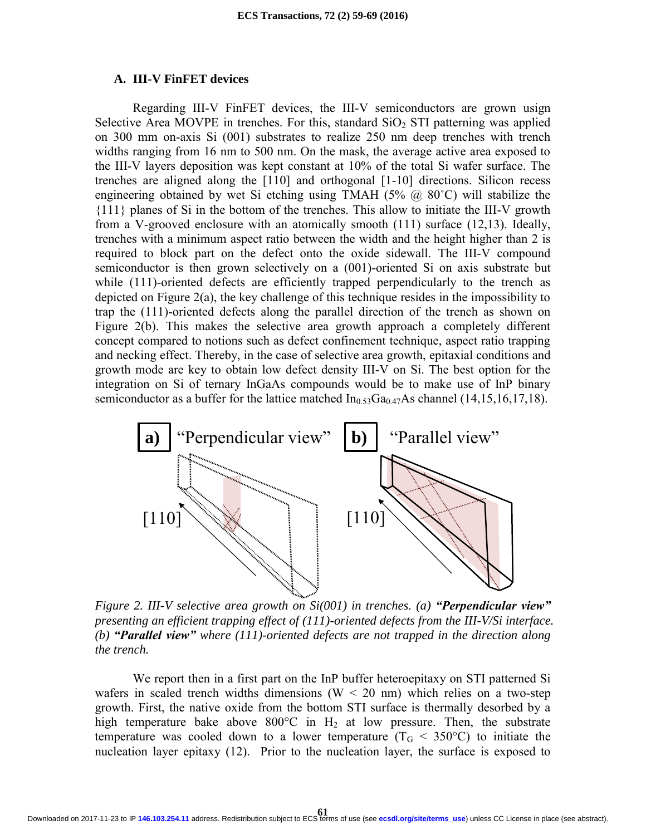### **A. III-V FinFET devices**

 Regarding III-V FinFET devices, the III-V semiconductors are grown usign Selective Area MOVPE in trenches. For this, standard  $SiO<sub>2</sub> STI$  patterning was applied on 300 mm on-axis Si (001) substrates to realize 250 nm deep trenches with trench widths ranging from 16 nm to 500 nm. On the mask, the average active area exposed to the III-V layers deposition was kept constant at 10% of the total Si wafer surface. The trenches are aligned along the [110] and orthogonal [1-10] directions. Silicon recess engineering obtained by wet Si etching using TMAH (5%  $\omega$  80°C) will stabilize the {111} planes of Si in the bottom of the trenches. This allow to initiate the III-V growth from a V-grooved enclosure with an atomically smooth (111) surface (12,13). Ideally, trenches with a minimum aspect ratio between the width and the height higher than 2 is required to block part on the defect onto the oxide sidewall. The III-V compound semiconductor is then grown selectively on a (001)-oriented Si on axis substrate but while (111)-oriented defects are efficiently trapped perpendicularly to the trench as depicted on Figure 2(a), the key challenge of this technique resides in the impossibility to trap the (111)-oriented defects along the parallel direction of the trench as shown on Figure 2(b). This makes the selective area growth approach a completely different concept compared to notions such as defect confinement technique, aspect ratio trapping and necking effect. Thereby, in the case of selective area growth, epitaxial conditions and growth mode are key to obtain low defect density III-V on Si. The best option for the integration on Si of ternary InGaAs compounds would be to make use of InP binary semiconductor as a buffer for the lattice matched  $In_{0.53}Ga_{0.47}As$  channel (14,15,16,17,18).



*Figure 2. III-V selective area growth on Si(001) in trenches. (a) "Perpendicular view" presenting an efficient trapping effect of (111)-oriented defects from the III-V/Si interface. (b) "Parallel view" where (111)-oriented defects are not trapped in the direction along the trench.* 

 We report then in a first part on the InP buffer heteroepitaxy on STI patterned Si wafers in scaled trench widths dimensions ( $W < 20$  nm) which relies on a two-step growth. First, the native oxide from the bottom STI surface is thermally desorbed by a high temperature bake above 800 $^{\circ}$ C in H<sub>2</sub> at low pressure. Then, the substrate temperature was cooled down to a lower temperature ( $T_G < 350^{\circ}$ C) to initiate the nucleation layer epitaxy (12). Prior to the nucleation layer, the surface is exposed to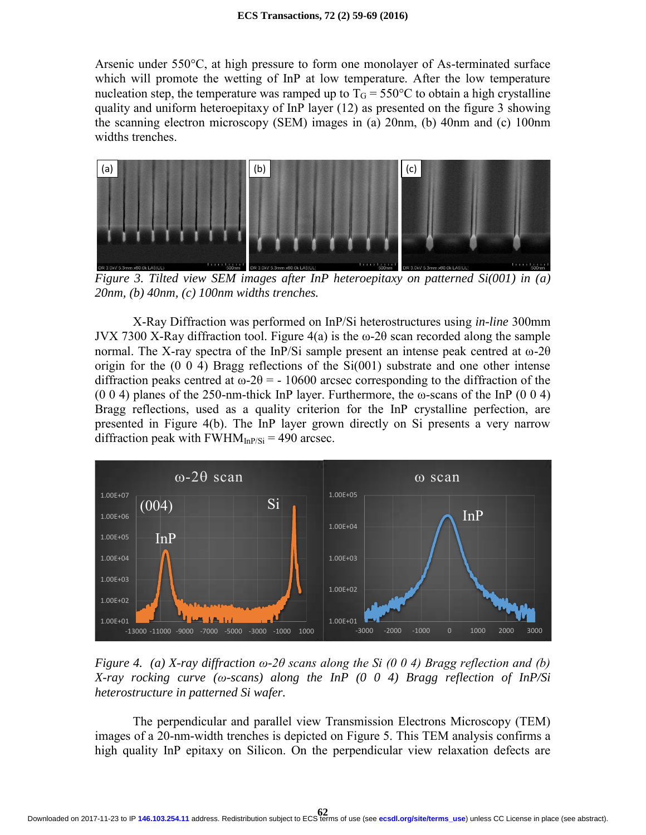Arsenic under 550°C, at high pressure to form one monolayer of As-terminated surface which will promote the wetting of InP at low temperature. After the low temperature nucleation step, the temperature was ramped up to  $T<sub>G</sub> = 550$ °C to obtain a high crystalline quality and uniform heteroepitaxy of InP layer (12) as presented on the figure 3 showing the scanning electron microscopy (SEM) images in (a) 20nm, (b) 40nm and (c) 100nm widths trenches.



*Figure 3. Tilted view SEM images after InP heteroepitaxy on patterned Si(001) in (a) 20nm, (b) 40nm, (c) 100nm widths trenches.* 

 X-Ray Diffraction was performed on InP/Si heterostructures using *in-line* 300mm JVX 7300 X-Ray diffraction tool. Figure 4(a) is the  $\omega$ -2 $\theta$  scan recorded along the sample normal. The X-ray spectra of the InP/Si sample present an intense peak centred at  $\omega$ -2 $\theta$ origin for the (0 0 4) Bragg reflections of the Si(001) substrate and one other intense diffraction peaks centred at  $\omega$ -2 $\theta$  = - 10600 arcsec corresponding to the diffraction of the (0 0 4) planes of the 250-nm-thick InP layer. Furthermore, the  $\omega$ -scans of the InP (0 0 4) Bragg reflections, used as a quality criterion for the InP crystalline perfection, are presented in Figure 4(b). The InP layer grown directly on Si presents a very narrow diffraction peak with  $FWHM_{InP/Si} = 490$  arcsec.



*Figure 4. (a) X-ray diffraction ω-2θ scans along the Si (0 0 4) Bragg reflection and (b) X-ray rocking curve (ω-scans) along the InP (0 0 4) Bragg reflection of InP/Si heterostructure in patterned Si wafer.* 

 The perpendicular and parallel view Transmission Electrons Microscopy (TEM) images of a 20-nm-width trenches is depicted on Figure 5. This TEM analysis confirms a high quality InP epitaxy on Silicon. On the perpendicular view relaxation defects are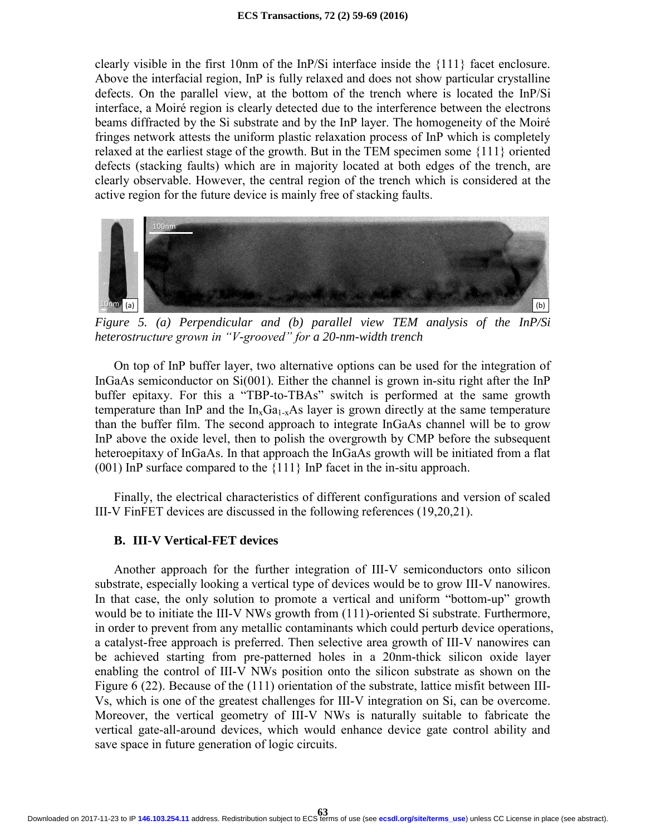clearly visible in the first 10nm of the InP/Si interface inside the {111} facet enclosure. Above the interfacial region, InP is fully relaxed and does not show particular crystalline defects. On the parallel view, at the bottom of the trench where is located the InP/Si interface, a Moiré region is clearly detected due to the interference between the electrons beams diffracted by the Si substrate and by the InP layer. The homogeneity of the Moiré fringes network attests the uniform plastic relaxation process of InP which is completely relaxed at the earliest stage of the growth. But in the TEM specimen some {111} oriented defects (stacking faults) which are in majority located at both edges of the trench, are clearly observable. However, the central region of the trench which is considered at the active region for the future device is mainly free of stacking faults.



*Figure 5. (a) Perpendicular and (b) parallel view TEM analysis of the InP/Si heterostructure grown in "V-grooved" for a 20-nm-width trench* 

On top of InP buffer layer, two alternative options can be used for the integration of InGaAs semiconductor on Si(001). Either the channel is grown in-situ right after the InP buffer epitaxy. For this a "TBP-to-TBAs" switch is performed at the same growth temperature than InP and the  $In_xGa_{1-x}As$  layer is grown directly at the same temperature than the buffer film. The second approach to integrate InGaAs channel will be to grow InP above the oxide level, then to polish the overgrowth by CMP before the subsequent heteroepitaxy of InGaAs. In that approach the InGaAs growth will be initiated from a flat (001) InP surface compared to the {111} InP facet in the in-situ approach.

Finally, the electrical characteristics of different configurations and version of scaled III-V FinFET devices are discussed in the following references (19,20,21).

#### **B. III-V Vertical-FET devices**

Another approach for the further integration of III-V semiconductors onto silicon substrate, especially looking a vertical type of devices would be to grow III-V nanowires. In that case, the only solution to promote a vertical and uniform "bottom-up" growth would be to initiate the III-V NWs growth from (111)-oriented Si substrate. Furthermore, in order to prevent from any metallic contaminants which could perturb device operations, a catalyst-free approach is preferred. Then selective area growth of III-V nanowires can be achieved starting from pre-patterned holes in a 20nm-thick silicon oxide layer enabling the control of III-V NWs position onto the silicon substrate as shown on the Figure 6 (22). Because of the (111) orientation of the substrate, lattice misfit between III-Vs, which is one of the greatest challenges for III-V integration on Si, can be overcome. Moreover, the vertical geometry of III-V NWs is naturally suitable to fabricate the vertical gate-all-around devices, which would enhance device gate control ability and save space in future generation of logic circuits.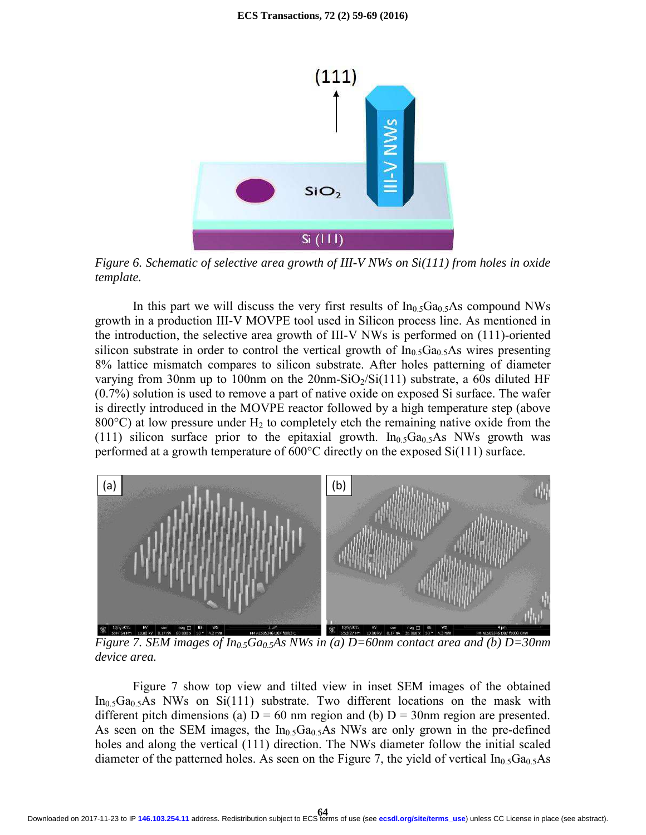

*Figure 6. Schematic of selective area growth of III-V NWs on Si(111) from holes in oxide template.* 

In this part we will discuss the very first results of  $In<sub>0.5</sub>Ga<sub>0.5</sub>As compound NWs$ growth in a production III-V MOVPE tool used in Silicon process line. As mentioned in the introduction, the selective area growth of III-V NWs is performed on (111)-oriented silicon substrate in order to control the vertical growth of  $In_0$ ,  $Ga_0$ , As wires presenting 8% lattice mismatch compares to silicon substrate. After holes patterning of diameter varying from 30nm up to 100nm on the  $20$ nm-SiO<sub>2</sub>/Si(111) substrate, a 60s diluted HF (0.7%) solution is used to remove a part of native oxide on exposed Si surface. The wafer is directly introduced in the MOVPE reactor followed by a high temperature step (above 800 $^{\circ}$ C) at low pressure under H<sub>2</sub> to completely etch the remaining native oxide from the (111) silicon surface prior to the epitaxial growth.  $In<sub>0.5</sub>Ga<sub>0.5</sub>As NWs$  growth was performed at a growth temperature of 600°C directly on the exposed Si(111) surface.



*Figure 7. SEM images of In0.5Ga0.5As NWs in (a) D=60nm contact area and (b) D=30nm device area.* 

 Figure 7 show top view and tilted view in inset SEM images of the obtained  $In<sub>0.5</sub>Ga<sub>0.5</sub>As NWs$  on Si(111) substrate. Two different locations on the mask with different pitch dimensions (a)  $D = 60$  nm region and (b)  $D = 30$ nm region are presented. As seen on the SEM images, the  $In<sub>0.5</sub>Ga<sub>0.5</sub>As NWs$  are only grown in the pre-defined holes and along the vertical (111) direction. The NWs diameter follow the initial scaled diameter of the patterned holes. As seen on the Figure 7, the yield of vertical  $In<sub>0.5</sub>Ga<sub>0.5</sub>As$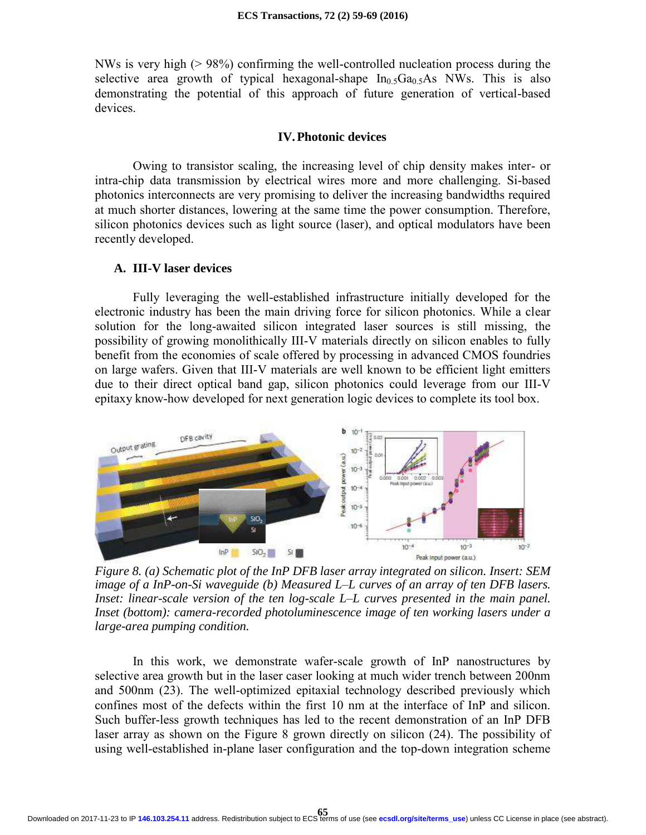NWs is very high (> 98%) confirming the well-controlled nucleation process during the selective area growth of typical hexagonal-shape  $In_0$ ,  $Ga_0$ ,  $As$  NWs. This is also demonstrating the potential of this approach of future generation of vertical-based devices.

#### **IV.Photonic devices**

 Owing to transistor scaling, the increasing level of chip density makes inter- or intra-chip data transmission by electrical wires more and more challenging. Si-based photonics interconnects are very promising to deliver the increasing bandwidths required at much shorter distances, lowering at the same time the power consumption. Therefore, silicon photonics devices such as light source (laser), and optical modulators have been recently developed.

## **A. III-V laser devices**

 Fully leveraging the well-established infrastructure initially developed for the electronic industry has been the main driving force for silicon photonics. While a clear solution for the long-awaited silicon integrated laser sources is still missing, the possibility of growing monolithically III-V materials directly on silicon enables to fully benefit from the economies of scale offered by processing in advanced CMOS foundries on large wafers. Given that III-V materials are well known to be efficient light emitters due to their direct optical band gap, silicon photonics could leverage from our III-V epitaxy know-how developed for next generation logic devices to complete its tool box.



*Figure 8. (a) Schematic plot of the InP DFB laser array integrated on silicon. Insert: SEM image of a InP-on-Si waveguide (b) Measured L–L curves of an array of ten DFB lasers. Inset: linear-scale version of the ten log-scale L–L curves presented in the main panel. Inset (bottom): camera-recorded photoluminescence image of ten working lasers under a large-area pumping condition.* 

 In this work, we demonstrate wafer-scale growth of InP nanostructures by selective area growth but in the laser caser looking at much wider trench between 200nm and 500nm (23). The well-optimized epitaxial technology described previously which confines most of the defects within the first 10 nm at the interface of InP and silicon. Such buffer-less growth techniques has led to the recent demonstration of an InP DFB laser array as shown on the Figure 8 grown directly on silicon (24). The possibility of using well-established in-plane laser configuration and the top-down integration scheme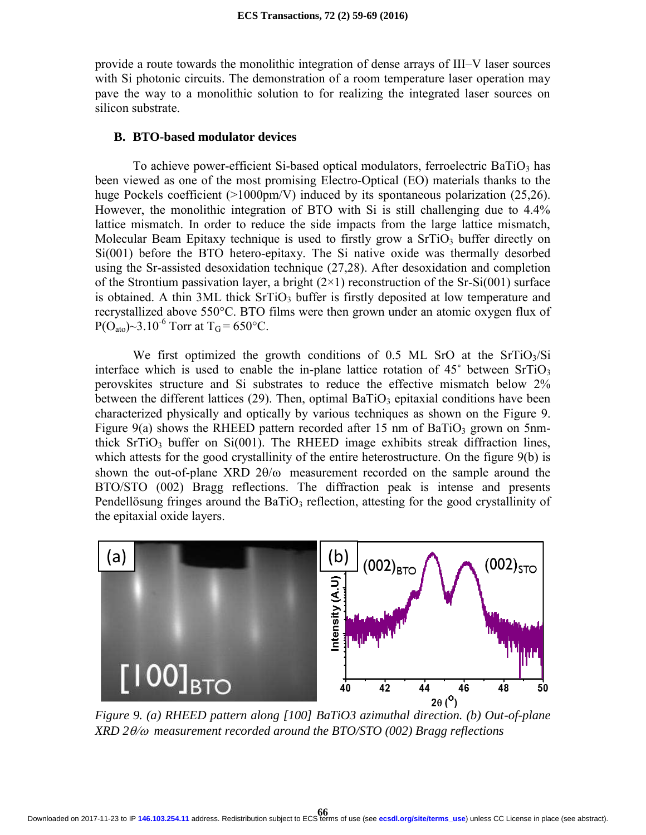provide a route towards the monolithic integration of dense arrays of III–V laser sources with Si photonic circuits. The demonstration of a room temperature laser operation may pave the way to a monolithic solution to for realizing the integrated laser sources on silicon substrate.

# **B. BTO-based modulator devices**

To achieve power-efficient Si-based optical modulators, ferroelectric BaTiO<sub>3</sub> has been viewed as one of the most promising Electro-Optical (EO) materials thanks to the huge Pockels coefficient (>1000pm/V) induced by its spontaneous polarization (25,26). However, the monolithic integration of BTO with Si is still challenging due to 4.4% lattice mismatch. In order to reduce the side impacts from the large lattice mismatch, Molecular Beam Epitaxy technique is used to firstly grow a  $SrTiO<sub>3</sub>$  buffer directly on Si(001) before the BTO hetero-epitaxy. The Si native oxide was thermally desorbed using the Sr-assisted desoxidation technique (27,28). After desoxidation and completion of the Strontium passivation layer, a bright  $(2\times1)$  reconstruction of the Sr-Si(001) surface is obtained. A thin  $3ML$  thick  $SrTiO<sub>3</sub>$  buffer is firstly deposited at low temperature and recrystallized above 550°C. BTO films were then grown under an atomic oxygen flux of  $P(O_{\text{ato}})$ ~3.10<sup>-6</sup> Torr at T<sub>G</sub> = 650°C.

We first optimized the growth conditions of 0.5 ML SrO at the SrTiO<sub>3</sub>/Si interface which is used to enable the in-plane lattice rotation of  $45^\circ$  between SrTiO<sub>3</sub> perovskites structure and Si substrates to reduce the effective mismatch below 2% between the different lattices (29). Then, optimal  $BaTiO<sub>3</sub>$  epitaxial conditions have been characterized physically and optically by various techniques as shown on the Figure 9. Figure 9(a) shows the RHEED pattern recorded after 15 nm of BaTiO<sub>3</sub> grown on 5nmthick  $SrTiO<sub>3</sub>$  buffer on  $Si(001)$ . The RHEED image exhibits streak diffraction lines, which attests for the good crystallinity of the entire heterostructure. On the figure 9(b) is shown the out-of-plane XRD  $2\theta/\omega$  measurement recorded on the sample around the BTO/STO (002) Bragg reflections. The diffraction peak is intense and presents Pendellösung fringes around the BaTiO<sub>3</sub> reflection, attesting for the good crystallinity of the epitaxial oxide layers.



*Figure 9. (a) RHEED pattern along [100] BaTiO3 azimuthal direction. (b) Out-of-plane XRD 2 measurement recorded around the BTO/STO (002) Bragg reflections*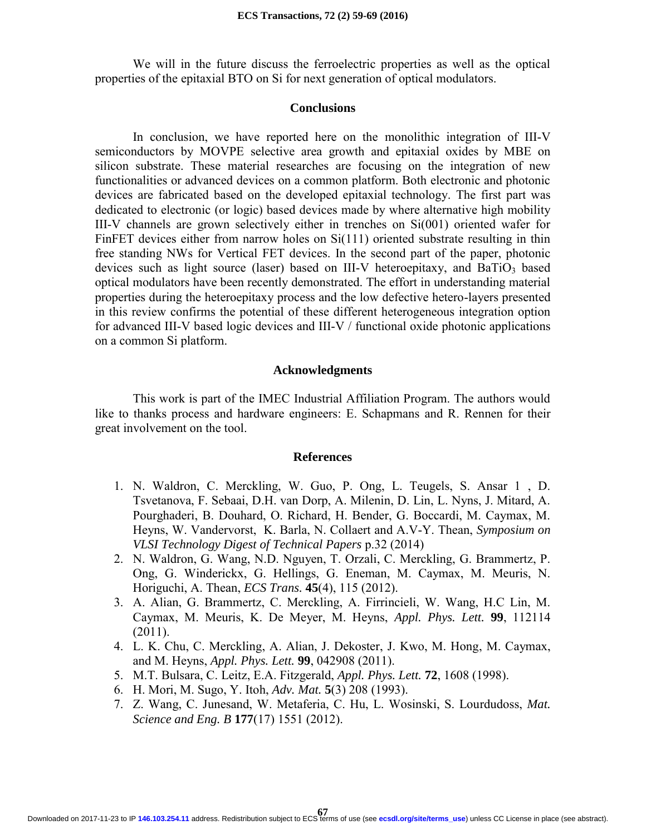We will in the future discuss the ferroelectric properties as well as the optical properties of the epitaxial BTO on Si for next generation of optical modulators.

# **Conclusions**

 In conclusion, we have reported here on the monolithic integration of III-V semiconductors by MOVPE selective area growth and epitaxial oxides by MBE on silicon substrate. These material researches are focusing on the integration of new functionalities or advanced devices on a common platform. Both electronic and photonic devices are fabricated based on the developed epitaxial technology. The first part was dedicated to electronic (or logic) based devices made by where alternative high mobility III-V channels are grown selectively either in trenches on Si(001) oriented wafer for FinFET devices either from narrow holes on  $Si(111)$  oriented substrate resulting in thin free standing NWs for Vertical FET devices. In the second part of the paper, photonic devices such as light source (laser) based on III-V heteroepitaxy, and  $BaTiO<sub>3</sub>$  based optical modulators have been recently demonstrated. The effort in understanding material properties during the heteroepitaxy process and the low defective hetero-layers presented in this review confirms the potential of these different heterogeneous integration option for advanced III-V based logic devices and III-V / functional oxide photonic applications on a common Si platform.

#### **Acknowledgments**

 This work is part of the IMEC Industrial Affiliation Program. The authors would like to thanks process and hardware engineers: E. Schapmans and R. Rennen for their great involvement on the tool.

## **References**

- 1. N. Waldron, C. Merckling, W. Guo, P. Ong, L. Teugels, S. Ansar 1 , D. Tsvetanova, F. Sebaai, D.H. van Dorp, A. Milenin, D. Lin, L. Nyns, J. Mitard, A. Pourghaderi, B. Douhard, O. Richard, H. Bender, G. Boccardi, M. Caymax, M. Heyns, W. Vandervorst, K. Barla, N. Collaert and A.V-Y. Thean, *Symposium on VLSI Technology Digest of Technical Papers* p.32 (2014)
- 2. N. Waldron, G. Wang, N.D. Nguyen, T. Orzali, C. Merckling, G. Brammertz, P. Ong, G. Winderickx, G. Hellings, G. Eneman, M. Caymax, M. Meuris, N. Horiguchi, A. Thean, *ECS Trans.* **45**(4), 115 (2012).
- 3. A. Alian, G. Brammertz, C. Merckling, A. Firrincieli, W. Wang, H.C Lin, M. Caymax, M. Meuris, K. De Meyer, M. Heyns, *Appl. Phys. Lett.* **99**, 112114 (2011).
- 4. L. K. Chu, C. Merckling, A. Alian, J. Dekoster, J. Kwo, M. Hong, M. Caymax, and M. Heyns, *Appl. Phys. Lett.* **99**, 042908 (2011).
- 5. M.T. Bulsara, C. Leitz, E.A. Fitzgerald, *Appl. Phys. Lett.* **72**, 1608 (1998).
- 6. H. Mori, M. Sugo, Y. Itoh, *Adv. Mat.* **5**(3) 208 (1993).
- 7. Z. Wang, C. Junesand, W. Metaferia, C. Hu, L. Wosinski, S. Lourdudoss, *Mat. Science and Eng. B* **177**(17) 1551 (2012).

**67** Downloaded on 2017-11-23 to IP **146.103.254.11** address. Redistribution subject to ECS terms of use (see **[ecsdl.org/site/terms\\_use](http://ecsdl.org/site/terms_use)**) unless CC License in place (see abstract).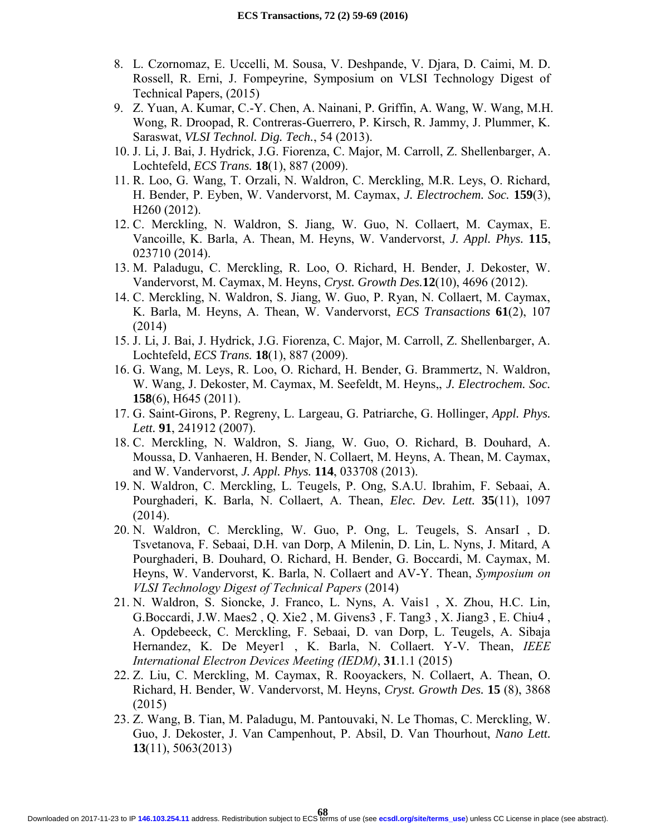- 8. L. Czornomaz, E. Uccelli, M. Sousa, V. Deshpande, V. Djara, D. Caimi, M. D. Rossell, R. Erni, J. Fompeyrine, Symposium on VLSI Technology Digest of Technical Papers, (2015)
- 9. Z. Yuan, A. Kumar, C.-Y. Chen, A. Nainani, P. Griffin, A. Wang, W. Wang, M.H. Wong, R. Droopad, R. Contreras-Guerrero, P. Kirsch, R. Jammy, J. Plummer, K. Saraswat, *VLSI Technol. Dig. Tech.*, 54 (2013).
- 10. J. Li, J. Bai, J. Hydrick, J.G. Fiorenza, C. Major, M. Carroll, Z. Shellenbarger, A. Lochtefeld, *ECS Trans.* **18**(1), 887 (2009).
- 11. R. Loo, G. Wang, T. Orzali, N. Waldron, C. Merckling, M.R. Leys, O. Richard, H. Bender, P. Eyben, W. Vandervorst, M. Caymax, *J. Electrochem. Soc.* **159**(3), H260 (2012).
- 12. C. Merckling, N. Waldron, S. Jiang, W. Guo, N. Collaert, M. Caymax, E. Vancoille, K. Barla, A. Thean, M. Heyns, W. Vandervorst, *J. Appl. Phys.* **115**, 023710 (2014).
- 13. M. Paladugu, C. Merckling, R. Loo, O. Richard, H. Bender, J. Dekoster, W. Vandervorst, M. Caymax, M. Heyns, *Cryst. Growth Des.***12**(10), 4696 (2012).
- 14. C. Merckling, N. Waldron, S. Jiang, W. Guo, P. Ryan, N. Collaert, M. Caymax, K. Barla, M. Heyns, A. Thean, W. Vandervorst, *ECS Transactions* **61**(2), 107 (2014)
- 15. J. Li, J. Bai, J. Hydrick, J.G. Fiorenza, C. Major, M. Carroll, Z. Shellenbarger, A. Lochtefeld, *ECS Trans.* **18**(1), 887 (2009).
- 16. G. Wang, M. Leys, R. Loo, O. Richard, H. Bender, G. Brammertz, N. Waldron, W. Wang, J. Dekoster, M. Caymax, M. Seefeldt, M. Heyns,, *J. Electrochem. Soc.*  **158**(6), H645 (2011).
- 17. G. Saint-Girons, P. Regreny, L. Largeau, G. Patriarche, G. Hollinger, *Appl. Phys. Lett.* **91**, 241912 (2007).
- 18. C. Merckling, N. Waldron, S. Jiang, W. Guo, O. Richard, B. Douhard, A. Moussa, D. Vanhaeren, H. Bender, N. Collaert, M. Heyns, A. Thean, M. Caymax, and W. Vandervorst, *J. Appl. Phys.* **114**, 033708 (2013).
- 19. N. Waldron, C. Merckling, L. Teugels, P. Ong, S.A.U. Ibrahim, F. Sebaai, A. Pourghaderi, K. Barla, N. Collaert, A. Thean, *Elec. Dev. Lett.* **35**(11), 1097 (2014).
- 20. N. Waldron, C. Merckling, W. Guo, P. Ong, L. Teugels, S. AnsarI , D. Tsvetanova, F. Sebaai, D.H. van Dorp, A Milenin, D. Lin, L. Nyns, J. Mitard, A Pourghaderi, B. Douhard, O. Richard, H. Bender, G. Boccardi, M. Caymax, M. Heyns, W. Vandervorst, K. Barla, N. Collaert and AV-Y. Thean, *Symposium on VLSI Technology Digest of Technical Papers* (2014)
- 21. N. Waldron, S. Sioncke, J. Franco, L. Nyns, A. Vais1 , X. Zhou, H.C. Lin, G.Boccardi, J.W. Maes2 , Q. Xie2 , M. Givens3 , F. Tang3 , X. Jiang3 , E. Chiu4 , A. Opdebeeck, C. Merckling, F. Sebaai, D. van Dorp, L. Teugels, A. Sibaja Hernandez, K. De Meyer1 , K. Barla, N. Collaert. Y-V. Thean, *IEEE International Electron Devices Meeting (IEDM)*, **31**.1.1 (2015)
- 22. Z. Liu, C. Merckling, M. Caymax, R. Rooyackers, N. Collaert, A. Thean, O. Richard, H. Bender, W. Vandervorst, M. Heyns, *Cryst. Growth Des.* **15** (8), 3868 (2015)
- 23. Z. Wang, B. Tian, M. Paladugu, M. Pantouvaki, N. Le Thomas, C. Merckling, W. Guo, J. Dekoster, J. Van Campenhout, P. Absil, D. Van Thourhout, *Nano Lett.* **13**(11), 5063(2013)